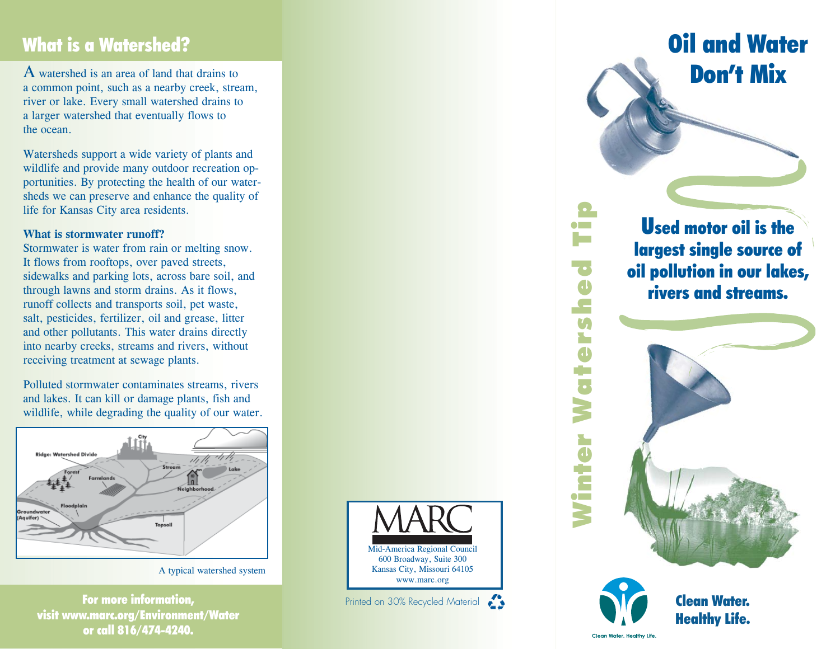## What is a Watershed?

A watershed is an area of land that drains to a common point, such as a nearby creek, stream, river or lake. Every small watershed drains to a larger watershed that eventually flows to the ocean.

Watersheds support a wide variety of plants and wildlife and provide many outdoor recreation opportunities. By protecting the health of our watersheds we can preserve and enhance the quality of life for Kansas City area residents.

#### **What is stormwater runoff?**

Stormwater is water from rain or melting snow. It flows from rooftops, over paved streets, sidewalks and parking lots, across bare soil, and through lawns and storm drains. As it flows, runoff collects and transports soil, pet waste, salt, pesticides, fertilizer, oil and grease, litter and other pollutants. This water drains directly into nearby creeks, streams and rivers, without receiving treatment at sewage plants.

Polluted stormwater contaminates streams, rivers and lakes. It can kill or damage plants, fish and wildlife, while degrading the quality of our water.



A typical watershed system

For more information, visit www.marc.org/Environment/Water or call 816/474-4240.



Oil and WaterDon't Mix

Used motor oil is the largest single source of oil pollution in our lakes, rivers and streams.





Clean Water, Healthy Life

Winter Watershed Tip

3

hter

Ş

 $\bullet$   $\blacksquare$ 

Ū <u>e</u>  $\overline{\mathbf{U}}$